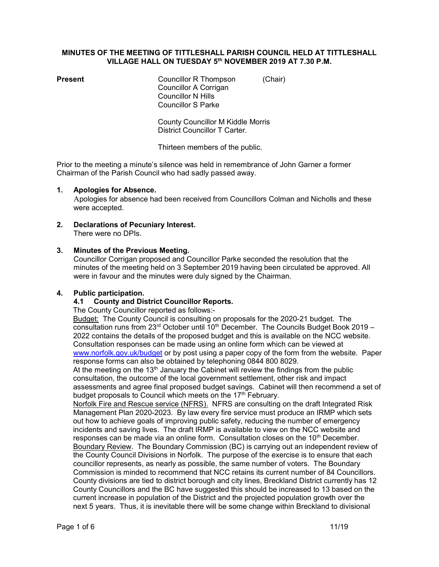#### MINUTES OF THE MEETING OF TITTLESHALL PARISH COUNCIL HELD AT TITTLESHALL VILLAGE HALL ON TUESDAY 5<sup>th</sup> NOVEMBER 2019 AT 7.30 P.M.

| Present |  |
|---------|--|
|         |  |

Councillor R Thompson (Chair) Councillor A Corrigan Councillor N Hills Councillor S Parke

 County Councillor M Kiddle Morris District Councillor T Carter.

Thirteen members of the public.

Prior to the meeting a minute's silence was held in remembrance of John Garner a former Chairman of the Parish Council who had sadly passed away.

## 1. Apologies for Absence.

 Apologies for absence had been received from Councillors Colman and Nicholls and these were accepted.

2. Declarations of Pecuniary Interest. There were no DPIs.

## 3. Minutes of the Previous Meeting.

Councillor Corrigan proposed and Councillor Parke seconded the resolution that the minutes of the meeting held on 3 September 2019 having been circulated be approved. All were in favour and the minutes were duly signed by the Chairman.

## 4. Public participation.

## 4.1 County and District Councillor Reports.

The County Councillor reported as follows:-

 Budget: The County Council is consulting on proposals for the 2020-21 budget. The consultation runs from  $23<sup>rd</sup>$  October until  $10<sup>th</sup>$  December. The Councils Budget Book 2019 – 2022 contains the details of the proposed budget and this is available on the NCC website. Consultation responses can be made using an online form which can be viewed at www.norfolk.gov.uk/budget or by post using a paper copy of the form from the website. Paper response forms can also be obtained by telephoning 0844 800 8029.

At the meeting on the  $13<sup>th</sup>$  January the Cabinet will review the findings from the public consultation, the outcome of the local government settlement, other risk and impact assessments and agree final proposed budget savings. Cabinet will then recommend a set of budget proposals to Council which meets on the 17<sup>th</sup> February.

 Norfolk Fire and Rescue service (NFRS). NFRS are consulting on the draft Integrated Risk Management Plan 2020-2023. By law every fire service must produce an IRMP which sets out how to achieve goals of improving public safety, reducing the number of emergency incidents and saving lives. The draft IRMP is available to view on the NCC website and responses can be made via an online form. Consultation closes on the 10<sup>th</sup> December. Boundary Review. The Boundary Commission (BC) is carrying out an independent review of the County Council Divisions in Norfolk. The purpose of the exercise is to ensure that each councillor represents, as nearly as possible, the same number of voters. The Boundary Commission is minded to recommend that NCC retains its current number of 84 Councillors. County divisions are tied to district borough and city lines, Breckland District currently has 12 County Councillors and the BC have suggested this should be increased to 13 based on the current increase in population of the District and the projected population growth over the next 5 years. Thus, it is inevitable there will be some change within Breckland to divisional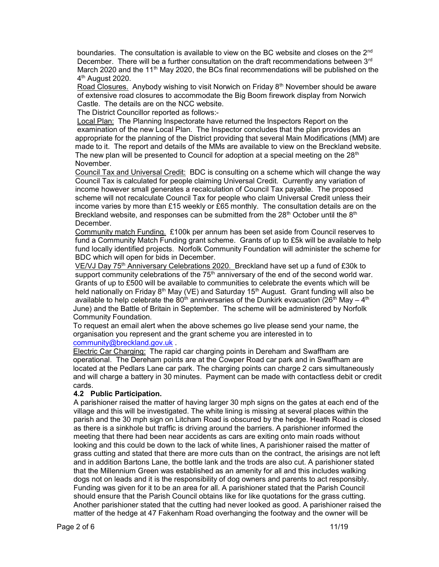boundaries. The consultation is available to view on the BC website and closes on the  $2^{nd}$ December. There will be a further consultation on the draft recommendations between  $3<sup>rd</sup>$ March 2020 and the 11<sup>th</sup> May 2020, the BCs final recommendations will be published on the 4<sup>th</sup> August 2020.

Road Closures. Anybody wishing to visit Norwich on Friday  $8<sup>th</sup>$  November should be aware of extensive road closures to accommodate the Big Boom firework display from Norwich Castle. The details are on the NCC website.

The District Councillor reported as follows:-

 Local Plan: The Planning Inspectorate have returned the Inspectors Report on the examination of the new Local Plan. The Inspector concludes that the plan provides an appropriate for the planning of the District providing that several Main Modifications (MM) are made to it. The report and details of the MMs are available to view on the Breckland website. The new plan will be presented to Council for adoption at a special meeting on the 28<sup>th</sup> November.

Council Tax and Universal Credit: BDC is consulting on a scheme which will change the way Council Tax is calculated for people claiming Universal Credit. Currently any variation of income however small generates a recalculation of Council Tax payable. The proposed scheme will not recalculate Council Tax for people who claim Universal Credit unless their income varies by more than £15 weekly or £65 monthly. The consultation details are on the Breckland website, and responses can be submitted from the  $28<sup>th</sup>$  October until the  $8<sup>th</sup>$ December.

 Community match Funding. £100k per annum has been set aside from Council reserves to fund a Community Match Funding grant scheme. Grants of up to £5k will be available to help fund locally identified projects. Norfolk Community Foundation will administer the scheme for BDC which will open for bids in December.

VE/VJ Day 75<sup>th</sup> Anniversary Celebrations 2020. Breckland have set up a fund of £30k to support community celebrations of the  $75<sup>th</sup>$  anniversary of the end of the second world war. Grants of up to £500 will be available to communities to celebrate the events which will be held nationally on Friday  $8<sup>th</sup>$  May (VE) and Saturday 15<sup>th</sup> August. Grant funding will also be available to help celebrate the 80<sup>th</sup> anniversaries of the Dunkirk evacuation (26<sup>th</sup> May – 4<sup>th</sup> June) and the Battle of Britain in September. The scheme will be administered by Norfolk Community Foundation.

 To request an email alert when the above schemes go live please send your name, the organisation you represent and the grant scheme you are interested in to community@breckland.gov.uk .

 Electric Car Charging: The rapid car charging points in Dereham and Swaffham are operational. The Dereham points are at the Cowper Road car park and in Swaffham are located at the Pedlars Lane car park. The charging points can charge 2 cars simultaneously and will charge a battery in 30 minutes. Payment can be made with contactless debit or credit cards.

## 4.2 Public Participation.

A parishioner raised the matter of having larger 30 mph signs on the gates at each end of the village and this will be investigated. The white lining is missing at several places within the parish and the 30 mph sign on Litcham Road is obscured by the hedge. Heath Road is closed as there is a sinkhole but traffic is driving around the barriers. A parishioner informed the meeting that there had been near accidents as cars are exiting onto main roads without looking and this could be down to the lack of white lines, A parishioner raised the matter of grass cutting and stated that there are more cuts than on the contract, the arisings are not left and in addition Bartons Lane, the bottle lank and the trods are also cut. A parishioner stated that the Millennium Green was established as an amenity for all and this includes walking dogs not on leads and it is the responsibility of dog owners and parents to act responsibly. Funding was given for it to be an area for all. A parishioner stated that the Parish Council should ensure that the Parish Council obtains like for like quotations for the grass cutting. Another parishioner stated that the cutting had never looked as good. A parishioner raised the matter of the hedge at 47 Fakenham Road overhanging the footway and the owner will be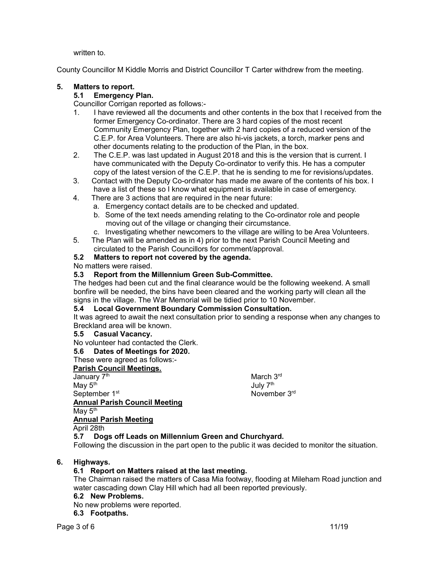written to.

County Councillor M Kiddle Morris and District Councillor T Carter withdrew from the meeting.

# 5. Matters to report.

# 5.1 Emergency Plan.

Councillor Corrigan reported as follows:-

- 1. I have reviewed all the documents and other contents in the box that I received from the former Emergency Co-ordinator. There are 3 hard copies of the most recent Community Emergency Plan, together with 2 hard copies of a reduced version of the C.E.P. for Area Volunteers. There are also hi-vis jackets, a torch, marker pens and other documents relating to the production of the Plan, in the box.
- 2. The C.E.P. was last updated in August 2018 and this is the version that is current. I have communicated with the Deputy Co-ordinator to verify this. He has a computer copy of the latest version of the C.E.P. that he is sending to me for revisions/updates.
- 3. Contact with the Deputy Co-ordinator has made me aware of the contents of his box. I have a list of these so I know what equipment is available in case of emergency.
- 4. There are 3 actions that are required in the near future:
	- a. Emergency contact details are to be checked and updated.
	- b. Some of the text needs amending relating to the Co-ordinator role and people moving out of the village or changing their circumstance.
	- c. Investigating whether newcomers to the village are willing to be Area Volunteers.
- 5. The Plan will be amended as in 4) prior to the next Parish Council Meeting and circulated to the Parish Councillors for comment/approval.

# 5.2 Matters to report not covered by the agenda.

No matters were raised.

# 5.3 Report from the Millennium Green Sub-Committee.

The hedges had been cut and the final clearance would be the following weekend. A small bonfire will be needed, the bins have been cleared and the working party will clean all the signs in the village. The War Memorial will be tidied prior to 10 November.

## 5.4 Local Government Boundary Commission Consultation.

It was agreed to await the next consultation prior to sending a response when any changes to Breckland area will be known.

## 5.5 Casual Vacancy.

No volunteer had contacted the Clerk.

# 5.6 Dates of Meetings for 2020.

These were agreed as follows:-

# Parish Council Meetings.

January 7<sup>th</sup> March 3<sup>rd</sup> May  $5^{\text{th}}$  and  $10^{\text{th}}$  and  $10^{\text{th}}$  and  $10^{\text{th}}$  and  $10^{\text{th}}$  and  $10^{\text{th}}$ September 1st Annual Parish Council Meeting May 5<sup>th</sup>

July 7<sup>th</sup> November 3rd

# Annual Parish Meeting

April 28th

# 5.7 Dogs off Leads on Millennium Green and Churchyard.

Following the discussion in the part open to the public it was decided to monitor the situation.

# 6. Highways.

# 6.1 Report on Matters raised at the last meeting.

The Chairman raised the matters of Casa Mia footway, flooding at Mileham Road junction and water cascading down Clay Hill which had all been reported previously.

# 6.2 New Problems.

No new problems were reported.

# 6.3 Footpaths.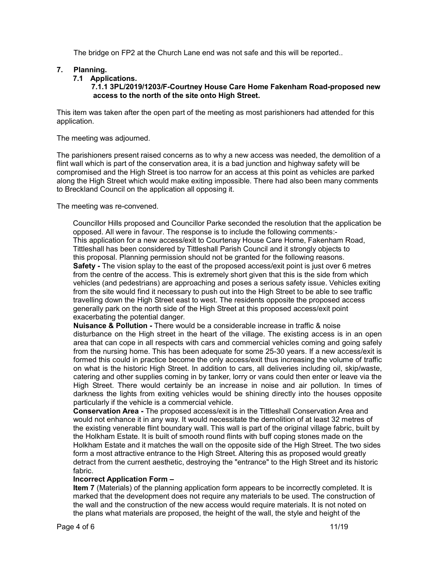The bridge on FP2 at the Church Lane end was not safe and this will be reported..

## 7. Planning.

#### 7.1 Applications.

#### 7.1.1 3PL/2019/1203/F-Courtney House Care Home Fakenham Road-proposed new access to the north of the site onto High Street.

This item was taken after the open part of the meeting as most parishioners had attended for this application.

The meeting was adjourned.

The parishioners present raised concerns as to why a new access was needed, the demolition of a flint wall which is part of the conservation area, it is a bad junction and highway safety will be compromised and the High Street is too narrow for an access at this point as vehicles are parked along the High Street which would make exiting impossible. There had also been many comments to Breckland Council on the application all opposing it.

The meeting was re-convened.

 Councillor Hills proposed and Councillor Parke seconded the resolution that the application be opposed. All were in favour. The response is to include the following comments:- This application for a new access/exit to Courtenay House Care Home, Fakenham Road, Tittleshall has been considered by Tittleshall Parish Council and it strongly objects to this proposal. Planning permission should not be granted for the following reasons. Safety - The vision splay to the east of the proposed access/exit point is just over 6 metres from the centre of the access. This is extremely short given that this is the side from which vehicles (and pedestrians) are approaching and poses a serious safety issue. Vehicles exiting from the site would find it necessary to push out into the High Street to be able to see traffic travelling down the High Street east to west. The residents opposite the proposed access generally park on the north side of the High Street at this proposed access/exit point exacerbating the potential danger.

Nuisance & Pollution - There would be a considerable increase in traffic & noise disturbance on the High street in the heart of the village. The existing access is in an open area that can cope in all respects with cars and commercial vehicles coming and going safely from the nursing home. This has been adequate for some 25-30 years. If a new access/exit is formed this could in practice become the only access/exit thus increasing the volume of traffic on what is the historic High Street. In addition to cars, all deliveries including oil, skip/waste, catering and other supplies coming in by tanker, lorry or vans could then enter or leave via the High Street. There would certainly be an increase in noise and air pollution. In times of darkness the lights from exiting vehicles would be shining directly into the houses opposite particularly if the vehicle is a commercial vehicle.

 Conservation Area - The proposed access/exit is in the Tittleshall Conservation Area and would not enhance it in any way. It would necessitate the demolition of at least 32 metres of the existing venerable flint boundary wall. This wall is part of the original village fabric, built by the Holkham Estate. It is built of smooth round flints with buff coping stones made on the Holkham Estate and it matches the wall on the opposite side of the High Street. The two sides form a most attractive entrance to the High Street. Altering this as proposed would greatly detract from the current aesthetic, destroying the "entrance" to the High Street and its historic fabric.

## Incorrect Application Form –

 Item 7 (Materials) of the planning application form appears to be incorrectly completed. It is marked that the development does not require any materials to be used. The construction of the wall and the construction of the new access would require materials. It is not noted on the plans what materials are proposed, the height of the wall, the style and height of the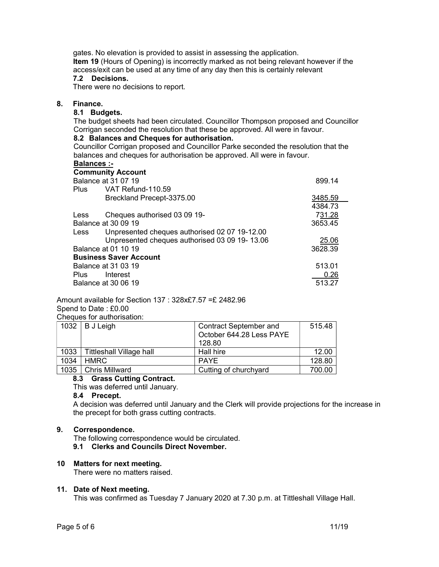gates. No elevation is provided to assist in assessing the application. Item 19 (Hours of Opening) is incorrectly marked as not being relevant however if the access/exit can be used at any time of any day then this is certainly relevant

# 7.2 Decisions.

There were no decisions to report.

#### 8. Finance.

## 8.1 Budgets.

The budget sheets had been circulated. Councillor Thompson proposed and Councillor Corrigan seconded the resolution that these be approved. All were in favour.

#### 8.2 Balances and Cheques for authorisation.

Councillor Corrigan proposed and Councillor Parke seconded the resolution that the balances and cheques for authorisation be approved. All were in favour.

## Balances :-

|                     | <b>Community Account</b>                      |         |  |
|---------------------|-----------------------------------------------|---------|--|
| Balance at 31 07 19 | 899.14                                        |         |  |
| Plus                | VAT Refund-110.59                             |         |  |
|                     | Breckland Precept-3375.00                     | 3485.59 |  |
|                     |                                               | 4384.73 |  |
| Less                | Cheques authorised 03 09 19-                  | 731.28  |  |
|                     | Balance at 30 09 19                           |         |  |
| Less                | Unpresented cheques authorised 02 07 19-12.00 |         |  |
|                     | Unpresented cheques authorised 03 09 19-13.06 | 25.06   |  |
|                     | Balance at 01 10 19                           | 3628.39 |  |
|                     | <b>Business Saver Account</b>                 |         |  |
|                     | Balance at 31 03 19                           | 513.01  |  |
| <b>Plus</b>         | Interest                                      | 0.26    |  |
|                     | Balance at 30 06 19                           | 513.27  |  |

Amount available for Section 137 : 328x£7.57 =£ 2482.96 Spend to Date : £0.00 Cheques for authorisation:

| <u> SHOGGOO TOL GGGHOLIOGGOFII.</u> |                          |                               |        |  |  |
|-------------------------------------|--------------------------|-------------------------------|--------|--|--|
| 1032                                | B J Leigh                | <b>Contract September and</b> | 515.48 |  |  |
|                                     |                          | October 644.28 Less PAYE      |        |  |  |
|                                     |                          | 128.80                        |        |  |  |
| 1033                                | Tittleshall Village hall | Hall hire                     | 12.00  |  |  |
| 1034                                | <b>HMRC</b>              | PAYE                          | 128.80 |  |  |
|                                     | 1035   Chris Millward    | Cutting of churchyard         | 700.00 |  |  |

# 8.3 Grass Cutting Contract.

# This was deferred until January.

#### 8.4 Precept.

 A decision was deferred until January and the Clerk will provide projections for the increase in the precept for both grass cutting contracts.

## 9. Correspondence.

The following correspondence would be circulated.

9.1 Clerks and Councils Direct November.

#### 10 Matters for next meeting.

There were no matters raised.

#### 11. Date of Next meeting.

This was confirmed as Tuesday 7 January 2020 at 7.30 p.m. at Tittleshall Village Hall.